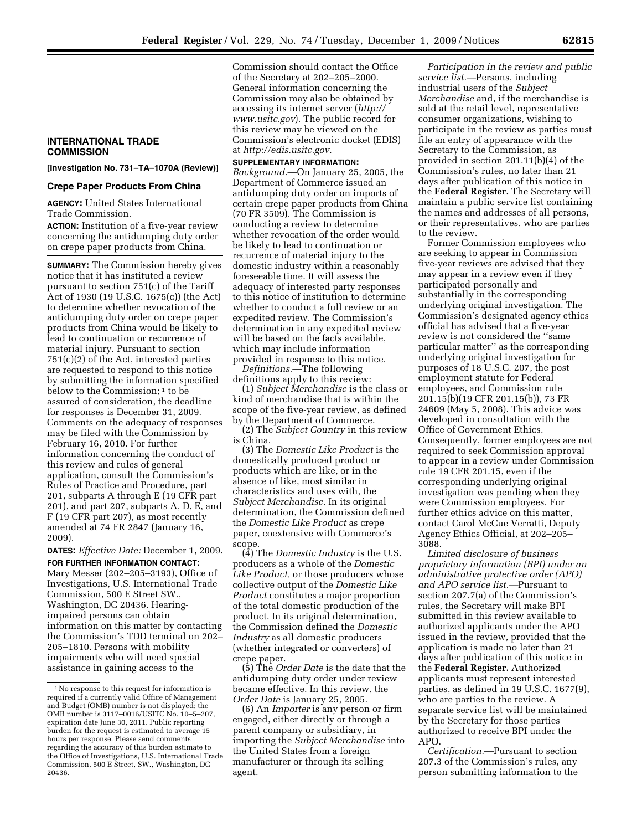## **INTERNATIONAL TRADE COMMISSION**

**[Investigation No. 731–TA–1070A (Review)]** 

## **Crepe Paper Products From China**

**AGENCY:** United States International Trade Commission.

**ACTION:** Institution of a five-year review concerning the antidumping duty order on crepe paper products from China.

**SUMMARY:** The Commission hereby gives notice that it has instituted a review pursuant to section 751(c) of the Tariff Act of 1930 (19 U.S.C. 1675(c)) (the Act) to determine whether revocation of the antidumping duty order on crepe paper products from China would be likely to lead to continuation or recurrence of material injury. Pursuant to section 751(c)(2) of the Act, interested parties are requested to respond to this notice by submitting the information specified below to the Commission:<sup>1</sup> to be assured of consideration, the deadline for responses is December 31, 2009. Comments on the adequacy of responses may be filed with the Commission by February 16, 2010. For further information concerning the conduct of this review and rules of general application, consult the Commission's Rules of Practice and Procedure, part 201, subparts A through E (19 CFR part 201), and part 207, subparts A, D, E, and F (19 CFR part 207), as most recently amended at 74 FR 2847 (January 16, 2009).

**DATES:** *Effective Date:* December 1, 2009. **FOR FURTHER INFORMATION CONTACT:**  Mary Messer (202–205–3193), Office of Investigations, U.S. International Trade Commission, 500 E Street SW., Washington, DC 20436. Hearingimpaired persons can obtain information on this matter by contacting the Commission's TDD terminal on 202– 205–1810. Persons with mobility impairments who will need special assistance in gaining access to the

Commission should contact the Office of the Secretary at 202–205–2000. General information concerning the Commission may also be obtained by accessing its internet server (*http:// www.usitc.gov*). The public record for this review may be viewed on the Commission's electronic docket (EDIS) at *http://edis.usitc.gov.* 

## **SUPPLEMENTARY INFORMATION:**

*Background.*—On January 25, 2005, the Department of Commerce issued an antidumping duty order on imports of certain crepe paper products from China (70 FR 3509). The Commission is conducting a review to determine whether revocation of the order would be likely to lead to continuation or recurrence of material injury to the domestic industry within a reasonably foreseeable time. It will assess the adequacy of interested party responses to this notice of institution to determine whether to conduct a full review or an expedited review. The Commission's determination in any expedited review will be based on the facts available, which may include information provided in response to this notice.

*Definitions.*—The following definitions apply to this review:

(1) *Subject Merchandise* is the class or kind of merchandise that is within the scope of the five-year review, as defined by the Department of Commerce.

(2) The *Subject Country* in this review is China.

(3) The *Domestic Like Product* is the domestically produced product or products which are like, or in the absence of like, most similar in characteristics and uses with, the *Subject Merchandise.* In its original determination, the Commission defined the *Domestic Like Product* as crepe paper, coextensive with Commerce's scope.

(4) The *Domestic Industry* is the U.S. producers as a whole of the *Domestic Like Product,* or those producers whose collective output of the *Domestic Like Product* constitutes a major proportion of the total domestic production of the product. In its original determination, the Commission defined the *Domestic Industry* as all domestic producers (whether integrated or converters) of crepe paper.

(5) The *Order Date* is the date that the antidumping duty order under review became effective. In this review, the *Order Date* is January 25, 2005.

(6) An *Importer* is any person or firm engaged, either directly or through a parent company or subsidiary, in importing the *Subject Merchandise* into the United States from a foreign manufacturer or through its selling agent.

*Participation in the review and public service list.*—Persons, including industrial users of the *Subject Merchandise* and, if the merchandise is sold at the retail level, representative consumer organizations, wishing to participate in the review as parties must file an entry of appearance with the Secretary to the Commission, as provided in section 201.11(b)(4) of the Commission's rules, no later than 21 days after publication of this notice in the **Federal Register.** The Secretary will maintain a public service list containing the names and addresses of all persons, or their representatives, who are parties to the review.

Former Commission employees who are seeking to appear in Commission five-year reviews are advised that they may appear in a review even if they participated personally and substantially in the corresponding underlying original investigation. The Commission's designated agency ethics official has advised that a five-year review is not considered the ''same particular matter'' as the corresponding underlying original investigation for purposes of 18 U.S.C. 207, the post employment statute for Federal employees, and Commission rule 201.15(b)(19 CFR 201.15(b)), 73 FR 24609 (May 5, 2008). This advice was developed in consultation with the Office of Government Ethics. Consequently, former employees are not required to seek Commission approval to appear in a review under Commission rule 19 CFR 201.15, even if the corresponding underlying original investigation was pending when they were Commission employees. For further ethics advice on this matter, contact Carol McCue Verratti, Deputy Agency Ethics Official, at 202–205– 3088.

*Limited disclosure of business proprietary information (BPI) under an administrative protective order (APO) and APO service list.—*Pursuant to section 207.7(a) of the Commission's rules, the Secretary will make BPI submitted in this review available to authorized applicants under the APO issued in the review, provided that the application is made no later than 21 days after publication of this notice in the **Federal Register.** Authorized applicants must represent interested parties, as defined in 19 U.S.C. 1677(9), who are parties to the review. A separate service list will be maintained by the Secretary for those parties authorized to receive BPI under the APO.

*Certification.*—Pursuant to section 207.3 of the Commission's rules, any person submitting information to the

<sup>1</sup>No response to this request for information is required if a currently valid Office of Management and Budget (OMB) number is not displayed; the OMB number is 3117–0016/USITC No. 10–5–207, expiration date June 30, 2011. Public reporting burden for the request is estimated to average 15 hours per response. Please send comments regarding the accuracy of this burden estimate to the Office of Investigations, U.S. International Trade Commission, 500 E Street, SW., Washington, DC 20436.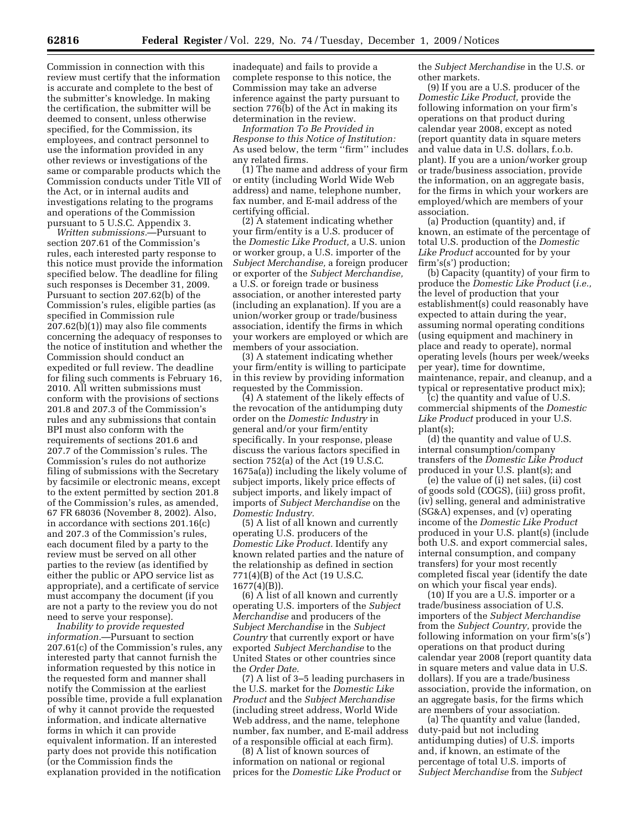Commission in connection with this review must certify that the information is accurate and complete to the best of the submitter's knowledge. In making the certification, the submitter will be deemed to consent, unless otherwise specified, for the Commission, its employees, and contract personnel to use the information provided in any other reviews or investigations of the same or comparable products which the Commission conducts under Title VII of the Act, or in internal audits and investigations relating to the programs and operations of the Commission pursuant to 5 U.S.C. Appendix 3.

*Written submissions.*—Pursuant to section 207.61 of the Commission's rules, each interested party response to this notice must provide the information specified below. The deadline for filing such responses is December 31, 2009. Pursuant to section 207.62(b) of the Commission's rules, eligible parties (as specified in Commission rule 207.62(b)(1)) may also file comments concerning the adequacy of responses to the notice of institution and whether the Commission should conduct an expedited or full review. The deadline for filing such comments is February 16, 2010. All written submissions must conform with the provisions of sections 201.8 and 207.3 of the Commission's rules and any submissions that contain BPI must also conform with the requirements of sections 201.6 and 207.7 of the Commission's rules. The Commission's rules do not authorize filing of submissions with the Secretary by facsimile or electronic means, except to the extent permitted by section 201.8 of the Commission's rules, as amended, 67 FR 68036 (November 8, 2002). Also, in accordance with sections 201.16(c) and 207.3 of the Commission's rules, each document filed by a party to the review must be served on all other parties to the review (as identified by either the public or APO service list as appropriate), and a certificate of service must accompany the document (if you are not a party to the review you do not need to serve your response).

*Inability to provide requested information.*—Pursuant to section 207.61(c) of the Commission's rules, any interested party that cannot furnish the information requested by this notice in the requested form and manner shall notify the Commission at the earliest possible time, provide a full explanation of why it cannot provide the requested information, and indicate alternative forms in which it can provide equivalent information. If an interested party does not provide this notification (or the Commission finds the explanation provided in the notification

inadequate) and fails to provide a complete response to this notice, the Commission may take an adverse inference against the party pursuant to section 776(b) of the Act in making its determination in the review.

*Information To Be Provided in Response to this Notice of Institution:*  As used below, the term ''firm'' includes any related firms.

(1) The name and address of your firm or entity (including World Wide Web address) and name, telephone number, fax number, and E-mail address of the certifying official.

(2) A statement indicating whether your firm/entity is a U.S. producer of the *Domestic Like Product,* a U.S. union or worker group, a U.S. importer of the *Subject Merchandise,* a foreign producer or exporter of the *Subject Merchandise,*  a U.S. or foreign trade or business association, or another interested party (including an explanation). If you are a union/worker group or trade/business association, identify the firms in which your workers are employed or which are members of your association.

(3) A statement indicating whether your firm/entity is willing to participate in this review by providing information requested by the Commission.

(4) A statement of the likely effects of the revocation of the antidumping duty order on the *Domestic Industry* in general and/or your firm/entity specifically. In your response, please discuss the various factors specified in section 752(a) of the Act (19 U.S.C. 1675a(a)) including the likely volume of subject imports, likely price effects of subject imports, and likely impact of imports of *Subject Merchandise* on the *Domestic Industry.* 

(5) A list of all known and currently operating U.S. producers of the *Domestic Like Product.* Identify any known related parties and the nature of the relationship as defined in section 771(4)(B) of the Act (19 U.S.C. 1677(4)(B)).

(6) A list of all known and currently operating U.S. importers of the *Subject Merchandise* and producers of the *Subject Merchandise* in the *Subject Country* that currently export or have exported *Subject Merchandise* to the United States or other countries since the *Order Date.* 

(7) A list of 3–5 leading purchasers in the U.S. market for the *Domestic Like Product* and the *Subject Merchandise*  (including street address, World Wide Web address, and the name, telephone number, fax number, and E-mail address of a responsible official at each firm).

(8) A list of known sources of information on national or regional prices for the *Domestic Like Product* or the *Subject Merchandise* in the U.S. or other markets.

(9) If you are a U.S. producer of the *Domestic Like Product,* provide the following information on your firm's operations on that product during calendar year 2008, except as noted (report quantity data in square meters and value data in U.S. dollars, f.o.b. plant). If you are a union/worker group or trade/business association, provide the information, on an aggregate basis, for the firms in which your workers are employed/which are members of your association.

(a) Production (quantity) and, if known, an estimate of the percentage of total U.S. production of the *Domestic Like Product* accounted for by your firm's(s') production;

(b) Capacity (quantity) of your firm to produce the *Domestic Like Product* (*i.e.,*  the level of production that your establishment(s) could reasonably have expected to attain during the year, assuming normal operating conditions (using equipment and machinery in place and ready to operate), normal operating levels (hours per week/weeks per year), time for downtime, maintenance, repair, and cleanup, and a typical or representative product mix);

(c) the quantity and value of U.S. commercial shipments of the *Domestic*  Like Product produced in your U.S. plant(s);

(d) the quantity and value of U.S. internal consumption/company transfers of the *Domestic Like Product*  produced in your U.S. plant(s); and

(e) the value of (i) net sales, (ii) cost of goods sold (COGS), (iii) gross profit, (iv) selling, general and administrative (SG&A) expenses, and (v) operating income of the *Domestic Like Product*  produced in your U.S. plant(s) (include both U.S. and export commercial sales, internal consumption, and company transfers) for your most recently completed fiscal year (identify the date on which your fiscal year ends).

(10) If you are a U.S. importer or a trade/business association of U.S. importers of the *Subject Merchandise*  from the *Subject Country,* provide the following information on your firm's(s') operations on that product during calendar year 2008 (report quantity data in square meters and value data in U.S. dollars). If you are a trade/business association, provide the information, on an aggregate basis, for the firms which are members of your association.

(a) The quantity and value (landed, duty-paid but not including antidumping duties) of U.S. imports and, if known, an estimate of the percentage of total U.S. imports of *Subject Merchandise* from the *Subject*